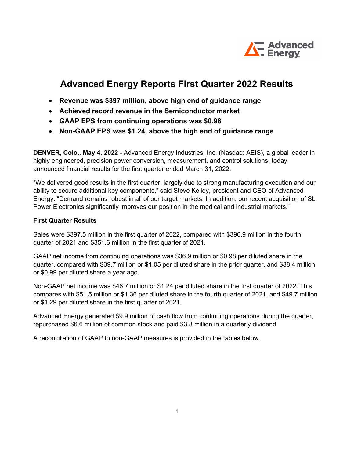

## Advanced Energy Reports First Quarter 2022 Results

- Revenue was \$397 million, above high end of guidance range
- Achieved record revenue in the Semiconductor market
- GAAP EPS from continuing operations was \$0.98
- Non-GAAP EPS was \$1.24, above the high end of guidance range

DENVER, Colo., May 4, 2022 - Advanced Energy Industries, Inc. (Nasdaq: AEIS), a global leader in highly engineered, precision power conversion, measurement, and control solutions, today announced financial results for the first quarter ended March 31, 2022.

"We delivered good results in the first quarter, largely due to strong manufacturing execution and our ability to secure additional key components," said Steve Kelley, president and CEO of Advanced Energy. "Demand remains robust in all of our target markets. In addition, our recent acquisition of SL Power Electronics significantly improves our position in the medical and industrial markets."

## First Quarter Results

Sales were \$397.5 million in the first quarter of 2022, compared with \$396.9 million in the fourth quarter of 2021 and \$351.6 million in the first quarter of 2021.

GAAP net income from continuing operations was \$36.9 million or \$0.98 per diluted share in the quarter, compared with \$39.7 million or \$1.05 per diluted share in the prior quarter, and \$38.4 million or \$0.99 per diluted share a year ago.

Non-GAAP net income was \$46.7 million or \$1.24 per diluted share in the first quarter of 2022. This compares with \$51.5 million or \$1.36 per diluted share in the fourth quarter of 2021, and \$49.7 million or \$1.29 per diluted share in the first quarter of 2021.

Advanced Energy generated \$9.9 million of cash flow from continuing operations during the quarter, repurchased \$6.6 million of common stock and paid \$3.8 million in a quarterly dividend.

A reconciliation of GAAP to non-GAAP measures is provided in the tables below.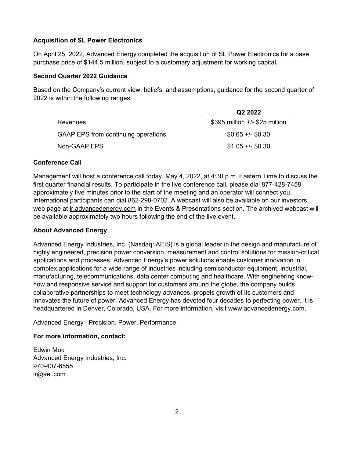## Acquisition of SL Power Electronics

On April 25, 2022, Advanced Energy completed the acquisition of SL Power Electronics for a base purchase price of \$144.5 million, subject to a customary adjustment for working capital.

## Second Quarter 2022 Guidance

Based on the Company's current view, beliefs, and assumptions, guidance for the second quarter of 2022 is within the following ranges:

|                                     | Q <sub>2</sub> 2022            |
|-------------------------------------|--------------------------------|
| Revenues                            | \$395 million +/- \$25 million |
| GAAP EPS from continuing operations | $$0.65 +/- $0.30$              |
| Non-GAAP EPS                        | $$1.05 +/- $0.30$              |

## Conference Call

Management will host a conference call today, May 4, 2022, at 4:30 p.m. Eastern Time to discuss the first quarter financial results. To participate in the live conference call, please dial 877-428-7458 approximately five minutes prior to the start of the meeting and an operator will connect you. International participants can dial 862-298-0702. A webcast will also be available on our investors web page at ir.advancedenergy.com in the Events & Presentations section. The archived webcast will be available approximately two hours following the end of the live event.

## About Advanced Energy

Advanced Energy Industries, Inc. (Nasdaq: AEIS) is a global leader in the design and manufacture of highly engineered, precision power conversion, measurement and control solutions for mission-critical applications and processes. Advanced Energy's power solutions enable customer innovation in complex applications for a wide range of industries including semiconductor equipment, industrial, manufacturing, telecommunications, data center computing and healthcare. With engineering knowhow and responsive service and support for customers around the globe, the company builds collaborative partnerships to meet technology advances, propels growth of its customers and innovates the future of power. Advanced Energy has devoted four decades to perfecting power. It is headquartered in Denver, Colorado, USA. For more information, visit www.advancedenergy.com.

Advanced Energy | Precision. Power. Performance.

## For more information, contact:

Edwin Mok Advanced Energy Industries, Inc. 970-407-6555 ir@aei.com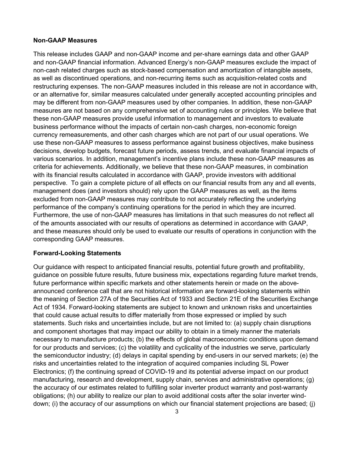#### Non-GAAP Measures

This release includes GAAP and non-GAAP income and per-share earnings data and other GAAP and non-GAAP financial information. Advanced Energy's non-GAAP measures exclude the impact of non-cash related charges such as stock-based compensation and amortization of intangible assets, as well as discontinued operations, and non-recurring items such as acquisition-related costs and restructuring expenses. The non-GAAP measures included in this release are not in accordance with, or an alternative for, similar measures calculated under generally accepted accounting principles and may be different from non-GAAP measures used by other companies. In addition, these non-GAAP measures are not based on any comprehensive set of accounting rules or principles. We believe that these non-GAAP measures provide useful information to management and investors to evaluate business performance without the impacts of certain non-cash charges, non-economic foreign currency remeasurements, and other cash charges which are not part of our usual operations. We use these non-GAAP measures to assess performance against business objectives, make business decisions, develop budgets, forecast future periods, assess trends, and evaluate financial impacts of various scenarios. In addition, management's incentive plans include these non-GAAP measures as criteria for achievements. Additionally, we believe that these non-GAAP measures, in combination with its financial results calculated in accordance with GAAP, provide investors with additional perspective. To gain a complete picture of all effects on our financial results from any and all events, management does (and investors should) rely upon the GAAP measures as well, as the items excluded from non-GAAP measures may contribute to not accurately reflecting the underlying performance of the company's continuing operations for the period in which they are incurred. Furthermore, the use of non-GAAP measures has limitations in that such measures do not reflect all of the amounts associated with our results of operations as determined in accordance with GAAP, and these measures should only be used to evaluate our results of operations in conjunction with the corresponding GAAP measures.

#### Forward-Looking Statements

Our guidance with respect to anticipated financial results, potential future growth and profitability, guidance on possible future results, future business mix, expectations regarding future market trends, future performance within specific markets and other statements herein or made on the aboveannounced conference call that are not historical information are forward-looking statements within the meaning of Section 27A of the Securities Act of 1933 and Section 21E of the Securities Exchange Act of 1934. Forward-looking statements are subject to known and unknown risks and uncertainties that could cause actual results to differ materially from those expressed or implied by such statements. Such risks and uncertainties include, but are not limited to: (a) supply chain disruptions and component shortages that may impact our ability to obtain in a timely manner the materials necessary to manufacture products; (b) the effects of global macroeconomic conditions upon demand for our products and services; (c) the volatility and cyclicality of the industries we serve, particularly the semiconductor industry; (d) delays in capital spending by end-users in our served markets; (e) the risks and uncertainties related to the integration of acquired companies including SL Power Electronics; (f) the continuing spread of COVID-19 and its potential adverse impact on our product manufacturing, research and development, supply chain, services and administrative operations; (g) the accuracy of our estimates related to fulfilling solar inverter product warranty and post-warranty obligations; (h) our ability to realize our plan to avoid additional costs after the solar inverter winddown; (i) the accuracy of our assumptions on which our financial statement projections are based; (j)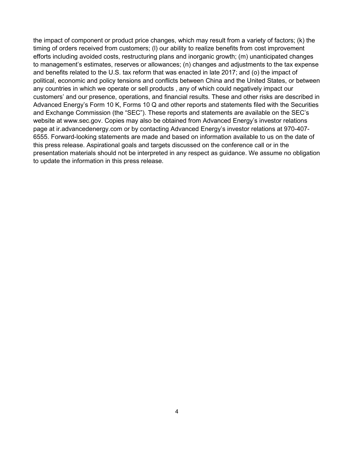the impact of component or product price changes, which may result from a variety of factors; (k) the timing of orders received from customers; (l) our ability to realize benefits from cost improvement efforts including avoided costs, restructuring plans and inorganic growth; (m) unanticipated changes to management's estimates, reserves or allowances; (n) changes and adjustments to the tax expense and benefits related to the U.S. tax reform that was enacted in late 2017; and (o) the impact of political, economic and policy tensions and conflicts between China and the United States, or between any countries in which we operate or sell products , any of which could negatively impact our customers' and our presence, operations, and financial results. These and other risks are described in Advanced Energy's Form 10 K, Forms 10 Q and other reports and statements filed with the Securities and Exchange Commission (the "SEC"). These reports and statements are available on the SEC's website at www.sec.gov. Copies may also be obtained from Advanced Energy's investor relations page at ir.advancedenergy.com or by contacting Advanced Energy's investor relations at 970-407- 6555. Forward-looking statements are made and based on information available to us on the date of this press release. Aspirational goals and targets discussed on the conference call or in the presentation materials should not be interpreted in any respect as guidance. We assume no obligation to update the information in this press release.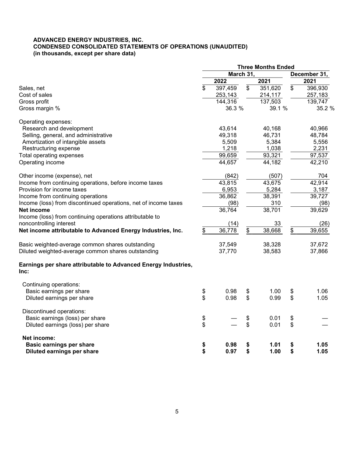#### ADVANCED ENERGY INDUSTRIES, INC. CONDENSED CONSOLIDATED STATEMENTS OF OPERATIONS (UNAUDITED) (in thousands, except per share data)

|                                                                        | <b>Three Months Ended</b> |         |    |         |    |              |
|------------------------------------------------------------------------|---------------------------|---------|----|---------|----|--------------|
|                                                                        | March 31,                 |         |    |         |    | December 31, |
|                                                                        |                           | 2022    |    | 2021    |    | 2021         |
| Sales, net                                                             | \$                        | 397,459 | \$ | 351,620 | \$ | 396,930      |
| Cost of sales                                                          |                           | 253,143 |    | 214,117 |    | 257,183      |
| Gross profit                                                           |                           | 144,316 |    | 137,503 |    | 139,747      |
| Gross margin %                                                         |                           | 36.3 %  |    | 39.1 %  |    | 35.2 %       |
| Operating expenses:                                                    |                           |         |    |         |    |              |
| Research and development                                               |                           | 43,614  |    | 40,168  |    | 40,966       |
| Selling, general, and administrative                                   |                           | 49,318  |    | 46,731  |    | 48,784       |
| Amortization of intangible assets                                      |                           | 5,509   |    | 5,384   |    | 5,556        |
| Restructuring expense                                                  |                           | 1,218   |    | 1,038   |    | 2,231        |
| Total operating expenses                                               |                           | 99,659  |    | 93,321  |    | 97,537       |
| Operating income                                                       |                           | 44,657  |    | 44,182  |    | 42,210       |
| Other income (expense), net                                            |                           | (842)   |    | (507)   |    | 704          |
| Income from continuing operations, before income taxes                 |                           | 43,815  |    | 43,675  |    | 42,914       |
| Provision for income taxes                                             |                           | 6,953   |    | 5,284   |    | 3,187        |
| Income from continuing operations                                      |                           | 36,862  |    | 38,391  |    | 39,727       |
| Income (loss) from discontinued operations, net of income taxes        |                           | (98)    |    | 310     |    | (98)         |
| Net income                                                             |                           | 36,764  |    | 38,701  |    | 39,629       |
| Income (loss) from continuing operations attributable to               |                           |         |    |         |    |              |
| noncontrolling interest                                                |                           | (14)    |    | 33      |    | (26)         |
| Net income attributable to Advanced Energy Industries, Inc.            | \$                        | 36,778  | \$ | 38,668  | \$ | 39,655       |
| Basic weighted-average common shares outstanding                       |                           | 37,549  |    | 38,328  |    | 37,672       |
| Diluted weighted-average common shares outstanding                     |                           | 37,770  |    | 38,583  |    | 37,866       |
| Earnings per share attributable to Advanced Energy Industries,<br>Inc: |                           |         |    |         |    |              |
| Continuing operations:                                                 |                           |         |    |         |    |              |
| Basic earnings per share                                               | \$                        | 0.98    | \$ | 1.00    | \$ | 1.06         |
| Diluted earnings per share                                             | \$                        | 0.98    | \$ | 0.99    | \$ | 1.05         |
| Discontinued operations:                                               |                           |         |    |         |    |              |
| Basic earnings (loss) per share                                        | \$                        |         | \$ | 0.01    | \$ |              |
| Diluted earnings (loss) per share                                      | \$                        |         | \$ | 0.01    | \$ |              |
| Net income:                                                            |                           |         |    |         |    |              |
| <b>Basic earnings per share</b>                                        | \$                        | 0.98    | \$ | 1.01    | \$ | 1.05         |
| Diluted earnings per share                                             | \$                        | 0.97    | \$ | 1.00    | \$ | 1.05         |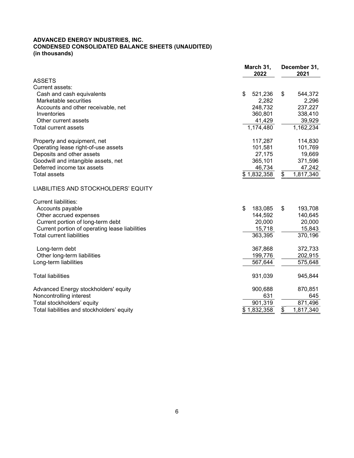#### ADVANCED ENERGY INDUSTRIES, INC. CONDENSED CONSOLIDATED BALANCE SHEETS (UNAUDITED) (in thousands)

|                                                | March 31,<br>2022 | December 31,<br>2021 |  |  |
|------------------------------------------------|-------------------|----------------------|--|--|
| <b>ASSETS</b>                                  |                   |                      |  |  |
| Current assets:                                |                   |                      |  |  |
| Cash and cash equivalents                      | \$<br>521,236     | \$<br>544,372        |  |  |
| Marketable securities                          | 2,282             | 2,296                |  |  |
| Accounts and other receivable, net             | 248,732           | 237,227              |  |  |
| Inventories                                    | 360,801           | 338,410              |  |  |
| Other current assets                           | 41,429            | 39,929               |  |  |
| Total current assets                           | 1,174,480         | 1,162,234            |  |  |
| Property and equipment, net                    | 117,287           | 114,830              |  |  |
| Operating lease right-of-use assets            | 101,581           | 101,769              |  |  |
| Deposits and other assets                      | 27,175            | 19,669               |  |  |
| Goodwill and intangible assets, net            | 365,101           | 371,596              |  |  |
| Deferred income tax assets                     | 46,734            | 47,242               |  |  |
| <b>Total assets</b>                            | \$1,832,358       | 1,817,340<br>\$      |  |  |
| LIABILITIES AND STOCKHOLDERS' EQUITY           |                   |                      |  |  |
| <b>Current liabilities:</b>                    |                   |                      |  |  |
| Accounts payable                               | \$<br>183,085     | \$<br>193,708        |  |  |
| Other accrued expenses                         | 144,592           | 140,645              |  |  |
| Current portion of long-term debt              | 20,000            | 20,000               |  |  |
| Current portion of operating lease liabilities | 15,718            | 15,843               |  |  |
| <b>Total current liabilities</b>               | 363,395           | 370,196              |  |  |
| Long-term debt                                 | 367,868           | 372,733              |  |  |
| Other long-term liabilities                    | 199,776           | 202,915              |  |  |
| Long-term liabilities                          | 567,644           | 575,648              |  |  |
| <b>Total liabilities</b>                       | 931,039           | 945,844              |  |  |
| Advanced Energy stockholders' equity           | 900,688           | 870,851              |  |  |
| Noncontrolling interest                        | 631               | 645                  |  |  |
| Total stockholders' equity                     | 901,319           | 871,496              |  |  |
| Total liabilities and stockholders' equity     | \$1,832,358       | \$<br>1,817,340      |  |  |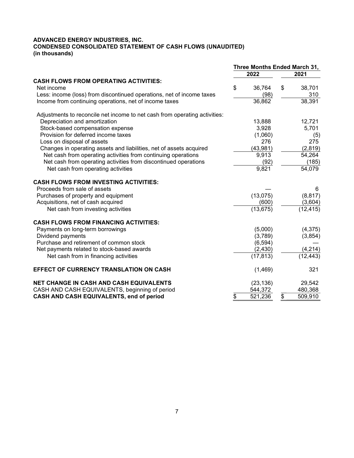#### ADVANCED ENERGY INDUSTRIES, INC. CONDENSED CONSOLIDATED STATEMENT OF CASH FLOWS (UNAUDITED) (in thousands)

|                                                                            | Three Months Ended March 31, |           |    |           |
|----------------------------------------------------------------------------|------------------------------|-----------|----|-----------|
|                                                                            |                              | 2022      |    | 2021      |
| <b>CASH FLOWS FROM OPERATING ACTIVITIES:</b>                               |                              |           |    |           |
| Net income                                                                 | \$                           | 36,764    | \$ | 38,701    |
| Less: income (loss) from discontinued operations, net of income taxes      |                              | (98)      |    | 310       |
| Income from continuing operations, net of income taxes                     |                              | 36,862    |    | 38,391    |
| Adjustments to reconcile net income to net cash from operating activities: |                              |           |    |           |
| Depreciation and amortization                                              |                              | 13,888    |    | 12,721    |
| Stock-based compensation expense                                           |                              | 3,928     |    | 5,701     |
| Provision for deferred income taxes                                        |                              | (1,060)   |    | (5)       |
| Loss on disposal of assets                                                 |                              | 276       |    | 275       |
| Changes in operating assets and liabilities, net of assets acquired        |                              | (43, 981) |    | (2,819)   |
| Net cash from operating activities from continuing operations              |                              | 9,913     |    | 54,264    |
| Net cash from operating activities from discontinued operations            |                              | (92)      |    | (185)     |
| Net cash from operating activities                                         |                              | 9,821     |    | 54,079    |
| <b>CASH FLOWS FROM INVESTING ACTIVITIES:</b>                               |                              |           |    |           |
| Proceeds from sale of assets                                               |                              |           |    | 6         |
| Purchases of property and equipment                                        |                              | (13,075)  |    | (8, 817)  |
| Acquisitions, net of cash acquired                                         |                              | (600)     |    | (3,604)   |
| Net cash from investing activities                                         |                              | (13, 675) |    | (12, 415) |
| <b>CASH FLOWS FROM FINANCING ACTIVITIES:</b>                               |                              |           |    |           |
| Payments on long-term borrowings                                           |                              | (5,000)   |    | (4,375)   |
| Dividend payments                                                          |                              | (3,789)   |    | (3,854)   |
| Purchase and retirement of common stock                                    |                              | (6, 594)  |    |           |
| Net payments related to stock-based awards                                 |                              | (2, 430)  |    | (4, 214)  |
| Net cash from in financing activities                                      |                              | (17, 813) |    | (12,443)  |
| <b>EFFECT OF CURRENCY TRANSLATION ON CASH</b>                              |                              | (1,469)   |    | 321       |
| <b>NET CHANGE IN CASH AND CASH EQUIVALENTS</b>                             |                              | (23, 136) |    | 29,542    |
| CASH AND CASH EQUIVALENTS, beginning of period                             |                              | 544,372   |    | 480,368   |
| CASH AND CASH EQUIVALENTS, end of period                                   | \$                           | 521,236   | \$ | 509,910   |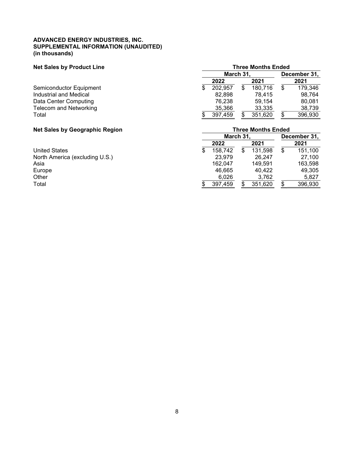#### ADVANCED ENERGY INDUSTRIES, INC. SUPPLEMENTAL INFORMATION (UNAUDITED) (in thousands)

## Net Sales by Product Line Three Months Ended

|                         |   | December 31, |         |  |         |
|-------------------------|---|--------------|---------|--|---------|
|                         |   | 2022         | 2021    |  | 2021    |
| Semiconductor Equipment | S | 202,957      | 180,716 |  | 179,346 |
| Industrial and Medical  |   | 82.898       | 78.415  |  | 98.764  |
| Data Center Computing   |   | 76.238       | 59.154  |  | 80.081  |
| Telecom and Networking  |   | 35,366       | 33,335  |  | 38,739  |
| Total                   |   | 397,459      | 351,620 |  | 396,930 |

# Net Sales by Geographic Region<br>
March 31, Dec

| -<br>.<br>. .                  |               |  |         |  |              |  |  |  |
|--------------------------------|---------------|--|---------|--|--------------|--|--|--|
|                                | March 31,     |  |         |  | December 31, |  |  |  |
|                                | 2022          |  | 2021    |  | 2021         |  |  |  |
| <b>United States</b>           | \$<br>158,742 |  | 131,598 |  | 151,100      |  |  |  |
| North America (excluding U.S.) | 23.979        |  | 26.247  |  | 27.100       |  |  |  |
| Asia                           | 162.047       |  | 149.591 |  | 163,598      |  |  |  |
| Europe                         | 46.665        |  | 40.422  |  | 49,305       |  |  |  |
| Other                          | 6.026         |  | 3,762   |  | 5.827        |  |  |  |
| Total                          | 397,459       |  | 351,620 |  | 396,930      |  |  |  |
|                                |               |  |         |  |              |  |  |  |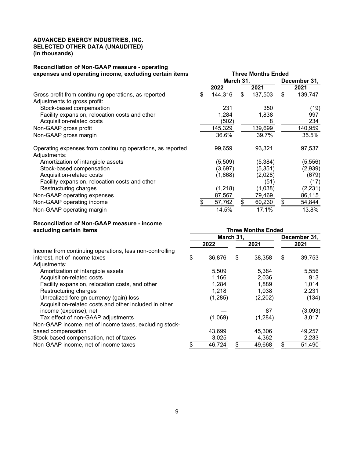#### ADVANCED ENERGY INDUSTRIES, INC. SELECTED OTHER DATA (UNAUDITED) (in thousands)

#### Reconciliation of Non-GAAP measure - operating expenses and operating income, excluding certain items Three Months Ended

| experises and operating income, excluding certain items                    | iiiice Muiiuis Liiucu |           |    |          |              |          |  |  |
|----------------------------------------------------------------------------|-----------------------|-----------|----|----------|--------------|----------|--|--|
|                                                                            |                       | March 31, |    |          | December 31, |          |  |  |
|                                                                            |                       | 2022      |    | 2021     |              | 2021     |  |  |
| Gross profit from continuing operations, as reported                       | \$.                   | 144,316   | \$ | 137,503  | \$           | 139,747  |  |  |
| Adjustments to gross profit:                                               |                       |           |    |          |              |          |  |  |
| Stock-based compensation                                                   |                       | 231       |    | 350      |              | (19)     |  |  |
| Facility expansion, relocation costs and other                             |                       | 1,284     |    | 1,838    |              | 997      |  |  |
| Acquisition-related costs                                                  |                       | (502)     |    | 8        |              | 234      |  |  |
| Non-GAAP gross profit                                                      |                       | 145,329   |    | 139,699  |              | 140,959  |  |  |
| Non-GAAP gross margin                                                      |                       | 36.6%     |    | 39.7%    |              | 35.5%    |  |  |
| Operating expenses from continuing operations, as reported<br>Adjustments: |                       | 99,659    |    | 93,321   |              | 97,537   |  |  |
| Amortization of intangible assets                                          |                       | (5,509)   |    | (5, 384) |              | (5, 556) |  |  |
| Stock-based compensation                                                   |                       | (3,697)   |    | (5,351)  |              | (2,939)  |  |  |
| Acquisition-related costs                                                  |                       | (1,668)   |    | (2,028)  |              | (679)    |  |  |
| Facility expansion, relocation costs and other                             |                       |           |    | (51)     |              | (17)     |  |  |
| Restructuring charges                                                      |                       | (1, 218)  |    | (1,038)  |              | (2, 231) |  |  |
| Non-GAAP operating expenses                                                |                       | 87,567    |    | 79,469   |              | 86,115   |  |  |
| Non-GAAP operating income                                                  |                       | 57,762    | \$ | 60,230   | \$           | 54,844   |  |  |
| Non-GAAP operating margin                                                  |                       | 14.5%     |    | 17.1%    |              | 13.8%    |  |  |

#### Reconciliation of Non-GAAP measure - income excluding certain items Three Months Ended

| <b>EVALUATILY CERTIFICITIS</b>                          | <u>HILGG MONUS FIIAGA</u> |          |      |          |              |         |  |  |
|---------------------------------------------------------|---------------------------|----------|------|----------|--------------|---------|--|--|
|                                                         | March 31,                 |          |      |          | December 31, |         |  |  |
|                                                         | 2022                      |          | 2021 |          | 2021         |         |  |  |
| Income from continuing operations, less non-controlling |                           |          |      |          |              |         |  |  |
| interest, net of income taxes                           | \$                        | 36,876   | S    | 38,358   | \$           | 39,753  |  |  |
| Adjustments:                                            |                           |          |      |          |              |         |  |  |
| Amortization of intangible assets                       |                           | 5,509    |      | 5,384    |              | 5,556   |  |  |
| Acquisition-related costs                               |                           | 1,166    |      | 2,036    |              | 913     |  |  |
| Facility expansion, relocation costs, and other         |                           | 1,284    |      | 1,889    |              | 1,014   |  |  |
| Restructuring charges                                   |                           | 1,218    |      | 1,038    |              | 2,231   |  |  |
| Unrealized foreign currency (gain) loss                 |                           | (1, 285) |      | (2,202)  |              | (134)   |  |  |
| Acquisition-related costs and other included in other   |                           |          |      |          |              |         |  |  |
| income (expense), net                                   |                           |          |      | 87       |              | (3,093) |  |  |
| Tax effect of non-GAAP adjustments                      |                           | (1,069)  |      | (1, 284) |              | 3,017   |  |  |
| Non-GAAP income, net of income taxes, excluding stock-  |                           |          |      |          |              |         |  |  |
| based compensation                                      |                           | 43,699   |      | 45,306   |              | 49,257  |  |  |
| Stock-based compensation, net of taxes                  |                           | 3,025    |      | 4,362    |              | 2,233   |  |  |
| Non-GAAP income, net of income taxes                    |                           | 46,724   |      | 49,668   |              | 51,490  |  |  |
|                                                         |                           |          |      |          |              |         |  |  |